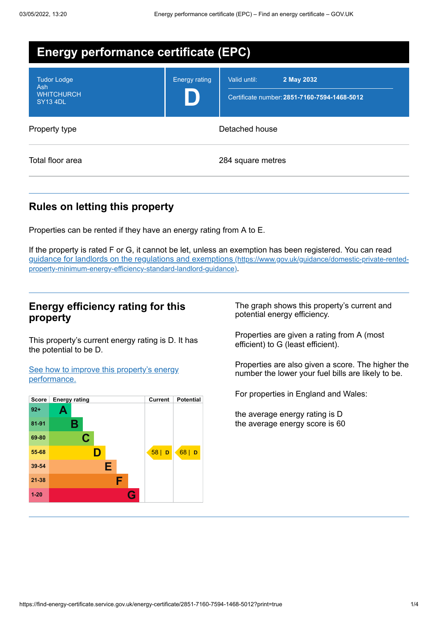| <b>Energy performance certificate (EPC)</b>                       |                      |                                                                            |
|-------------------------------------------------------------------|----------------------|----------------------------------------------------------------------------|
| <b>Tudor Lodge</b><br>Ash<br><b>WHITCHURCH</b><br><b>SY13 4DL</b> | <b>Energy rating</b> | 2 May 2032<br>Valid until:<br>Certificate number: 2851-7160-7594-1468-5012 |
| Property type                                                     |                      | Detached house                                                             |
| Total floor area                                                  |                      | 284 square metres                                                          |

## **Rules on letting this property**

Properties can be rented if they have an energy rating from A to E.

If the property is rated F or G, it cannot be let, unless an exemption has been registered. You can read guidance for landlords on the regulations and exemptions (https://www.gov.uk/guidance/domestic-private-rented[property-minimum-energy-efficiency-standard-landlord-guidance\)](https://www.gov.uk/guidance/domestic-private-rented-property-minimum-energy-efficiency-standard-landlord-guidance).

## **Energy efficiency rating for this property**

This property's current energy rating is D. It has the potential to be D.

See how to improve this property's energy [performance.](#page-2-0)



The graph shows this property's current and potential energy efficiency.

Properties are given a rating from A (most efficient) to G (least efficient).

Properties are also given a score. The higher the number the lower your fuel bills are likely to be.

For properties in England and Wales:

the average energy rating is D the average energy score is 60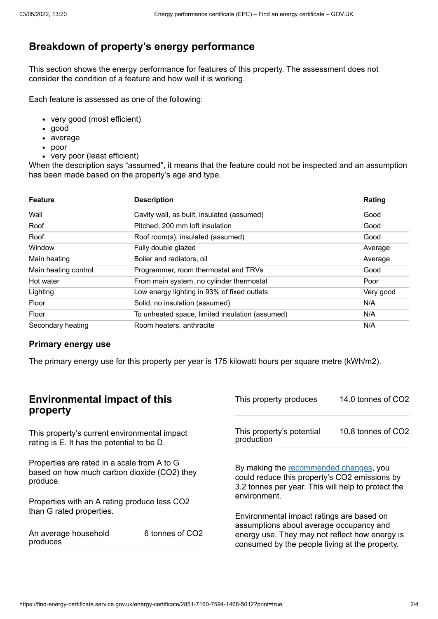# **Breakdown of property's energy performance**

This section shows the energy performance for features of this property. The assessment does not consider the condition of a feature and how well it is working.

Each feature is assessed as one of the following:

- very good (most efficient)
- good
- average
- poor
- very poor (least efficient)

When the description says "assumed", it means that the feature could not be inspected and an assumption has been made based on the property's age and type.

| <b>Feature</b>       | <b>Description</b>                              | Rating    |
|----------------------|-------------------------------------------------|-----------|
| Wall                 | Cavity wall, as built, insulated (assumed)      | Good      |
| Roof                 | Pitched, 200 mm loft insulation                 | Good      |
| Roof                 | Roof room(s), insulated (assumed)               | Good      |
| Window               | Fully double glazed                             | Average   |
| Main heating         | Boiler and radiators, oil                       | Average   |
| Main heating control | Programmer, room thermostat and TRVs            | Good      |
| Hot water            | From main system, no cylinder thermostat        | Poor      |
| Lighting             | Low energy lighting in 93% of fixed outlets     | Very good |
| Floor                | Solid, no insulation (assumed)                  | N/A       |
| Floor                | To unheated space, limited insulation (assumed) | N/A       |
| Secondary heating    | Room heaters, anthracite                        | N/A       |

### **Primary energy use**

The primary energy use for this property per year is 175 kilowatt hours per square metre (kWh/m2).

| <b>Environmental impact of this</b><br>property                                                        |                 | This property produces                                                                                                                                        | 14.0 tonnes of CO2 |
|--------------------------------------------------------------------------------------------------------|-----------------|---------------------------------------------------------------------------------------------------------------------------------------------------------------|--------------------|
| This property's current environmental impact<br>rating is E. It has the potential to be D.             |                 | This property's potential<br>production                                                                                                                       | 10.8 tonnes of CO2 |
| Properties are rated in a scale from A to G<br>based on how much carbon dioxide (CO2) they<br>produce. |                 | By making the recommended changes, you<br>could reduce this property's CO2 emissions by<br>3.2 tonnes per year. This will help to protect the<br>environment. |                    |
| Properties with an A rating produce less CO2                                                           |                 |                                                                                                                                                               |                    |
| than G rated properties.                                                                               |                 | Environmental impact ratings are based on<br>assumptions about average occupancy and                                                                          |                    |
| An average household<br>produces                                                                       | 6 tonnes of CO2 | energy use. They may not reflect how energy is<br>consumed by the people living at the property.                                                              |                    |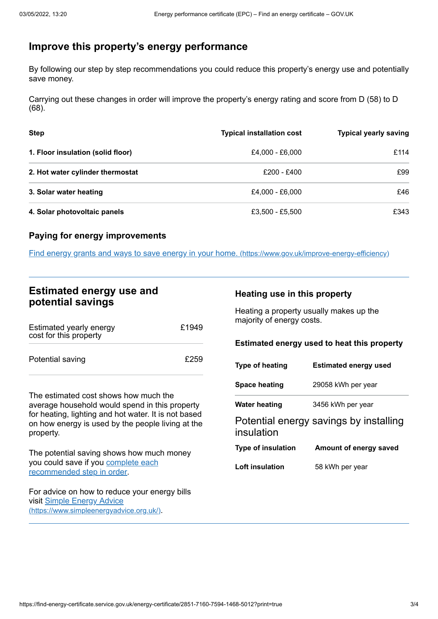# <span id="page-2-0"></span>**Improve this property's energy performance**

By following our step by step recommendations you could reduce this property's energy use and potentially save money.

Carrying out these changes in order will improve the property's energy rating and score from D (58) to D (68).

| <b>Step</b>                       | <b>Typical installation cost</b> | <b>Typical yearly saving</b> |
|-----------------------------------|----------------------------------|------------------------------|
| 1. Floor insulation (solid floor) | £4,000 - £6,000                  | £114                         |
| 2. Hot water cylinder thermostat  | £200 - £400                      | £99                          |
| 3. Solar water heating            | £4,000 - £6,000                  | £46                          |
| 4. Solar photovoltaic panels      | £3,500 - £5,500                  | £343                         |

### **Paying for energy improvements**

Find energy grants and ways to save energy in your home. [\(https://www.gov.uk/improve-energy-efficiency\)](https://www.gov.uk/improve-energy-efficiency)

## **Estimated energy use and potential savings**

| Estimated yearly energy<br>cost for this property | £1949 |
|---------------------------------------------------|-------|
| Potential saving                                  | £259  |

The estimated cost shows how much the average household would spend in this property for heating, lighting and hot water. It is not based on how energy is used by the people living at the property.

The potential saving shows how much money you could save if you complete each [recommended](#page-2-0) step in order.

For advice on how to reduce your energy bills visit Simple Energy Advice [\(https://www.simpleenergyadvice.org.uk/\)](https://www.simpleenergyadvice.org.uk/).

### **Heating use in this property**

Heating a property usually makes up the majority of energy costs.

### **Estimated energy used to heat this property**

| <b>Type of heating</b>    | <b>Estimated energy used</b>           |
|---------------------------|----------------------------------------|
| <b>Space heating</b>      | 29058 kWh per year                     |
| Water heating             | 3456 kWh per year                      |
| insulation                | Potential energy savings by installing |
| <b>Type of insulation</b> | Amount of energy saved                 |
| Loft insulation           | 58 kWh per year                        |